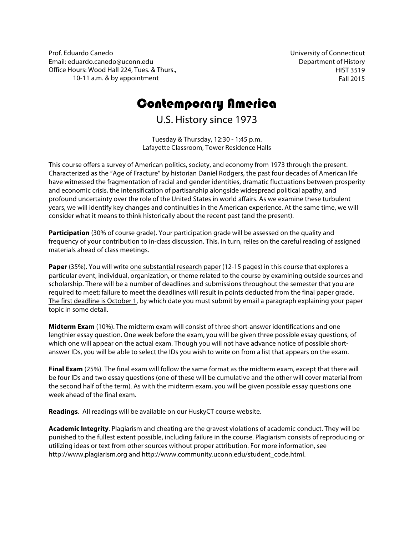Prof. Eduardo Canedo Email: eduardo.canedo@uconn.edu Office Hours: Wood Hall 224, Tues. & Thurs., 10-11 a.m. & by appointment

University of Connecticut Department of History HIST 3519 Fall 2015

# Contemporary America

U.S. History since 1973

Tuesday & Thursday, 12:30 - 1:45 p.m. Lafayette Classroom, Tower Residence Halls

This course offers a survey of American politics, society, and economy from 1973 through the present. Characterized as the "Age of Fracture" by historian Daniel Rodgers, the past four decades of American life have witnessed the fragmentation of racial and gender identities, dramatic fluctuations between prosperity and economic crisis, the intensification of partisanship alongside widespread political apathy, and profound uncertainty over the role of the United States in world affairs. As we examine these turbulent years, we will identify key changes and continuities in the American experience. At the same time, we will consider what it means to think historically about the recent past (and the present).

**Participation** (30% of course grade). Your participation grade will be assessed on the quality and frequency of your contribution to in-class discussion. This, in turn, relies on the careful reading of assigned materials ahead of class meetings.

**Paper** (35%). You will write one substantial research paper (12-15 pages) in this course that explores a particular event, individual, organization, or theme related to the course by examining outside sources and scholarship. There will be a number of deadlines and submissions throughout the semester that you are required to meet; failure to meet the deadlines will result in points deducted from the final paper grade. The first deadline is October 1, by which date you must submit by email a paragraph explaining your paper topic in some detail.

**Midterm Exam** (10%). The midterm exam will consist of three short-answer identifications and one lengthier essay question. One week before the exam, you will be given three possible essay questions, of which one will appear on the actual exam. Though you will not have advance notice of possible shortanswer IDs, you will be able to select the IDs you wish to write on from a list that appears on the exam.

**Final Exam** (25%). The final exam will follow the same format as the midterm exam, except that there will be four IDs and two essay questions (one of these will be cumulative and the other will cover material from the second half of the term). As with the midterm exam, you will be given possible essay questions one week ahead of the final exam.

**Readings**. All readings will be available on our HuskyCT course website.

**Academic Integrity**. Plagiarism and cheating are the gravest violations of academic conduct. They will be punished to the fullest extent possible, including failure in the course. Plagiarism consists of reproducing or utilizing ideas or text from other sources without proper attribution. For more information, see http://www.plagiarism.org and http://www.community.uconn.edu/student\_code.html.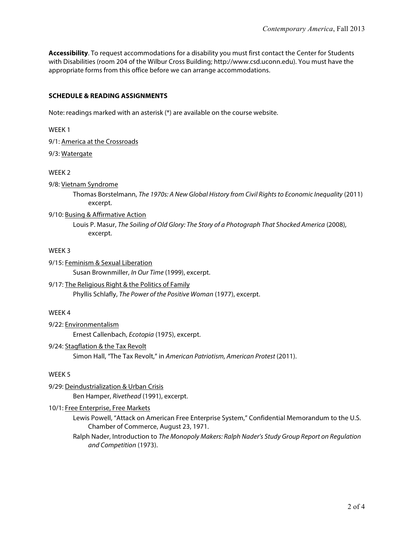**Accessibility**. To request accommodations for a disability you must first contact the Center for Students with Disabilities (room 204 of the Wilbur Cross Building; http://www.csd.uconn.edu). You must have the appropriate forms from this office before we can arrange accommodations.

# **SCHEDULE & READING ASSIGNMENTS**

Note: readings marked with an asterisk (\*) are available on the course website.

WEEK 1

9/1: America at the Crossroads

# 9/3: Watergate

WEEK 2

#### 9/8: Vietnam Syndrome

Thomas Borstelmann, The 1970s: A New Global History from Civil Rights to Economic Inequality (2011) excerpt.

# 9/10: Busing & Affirmative Action

Louis P. Masur, The Soiling of Old Glory: The Story of a Photograph That Shocked America (2008), excerpt.

#### WEEK 3

9/15: Feminism & Sexual Liberation

Susan Brownmiller, In Our Time (1999), excerpt.

# 9/17: The Religious Right & the Politics of Family

Phyllis Schlafly, The Power of the Positive Woman (1977), excerpt.

# WEEK 4

9/22: Environmentalism

Ernest Callenbach, Ecotopia (1975), excerpt.

# 9/24: Stagflation & the Tax Revolt

Simon Hall, "The Tax Revolt," in American Patriotism, American Protest (2011).

# WEEK 5

# 9/29: Deindustrialization & Urban Crisis

Ben Hamper, Rivethead (1991), excerpt.

# 10/1: Free Enterprise, Free Markets

- Lewis Powell, "Attack on American Free Enterprise System," Confidential Memorandum to the U.S. Chamber of Commerce, August 23, 1971.
- Ralph Nader, Introduction to The Monopoly Makers: Ralph Nader's Study Group Report on Regulation and Competition (1973).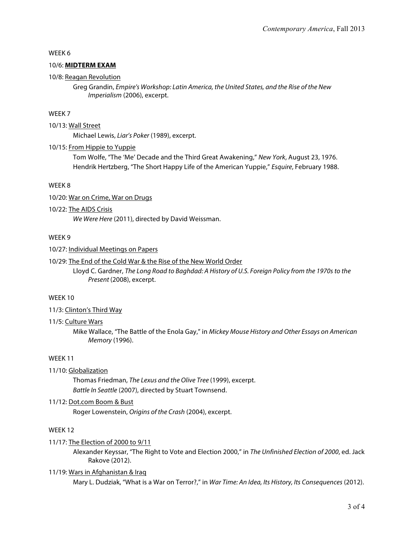# WEEK 6

# 10/6: **MIDTERM EXAM**

#### 10/8: Reagan Revolution

Greg Grandin, Empire's Workshop: Latin America, the United States, and the Rise of the New Imperialism (2006), excerpt.

# WEEK 7

#### 10/13: Wall Street

Michael Lewis, Liar's Poker (1989), excerpt.

#### 10/15: From Hippie to Yuppie

Tom Wolfe, "The 'Me' Decade and the Third Great Awakening," New York, August 23, 1976. Hendrik Hertzberg, "The Short Happy Life of the American Yuppie," Esquire, February 1988.

#### WEEK 8

10/20: War on Crime, War on Drugs

# 10/22: The AIDS Crisis

We Were Here (2011), directed by David Weissman.

#### WEEK 9

#### 10/27: Individual Meetings on Papers

#### 10/29: The End of the Cold War & the Rise of the New World Order

Lloyd C. Gardner, The Long Road to Baghdad: A History of U.S. Foreign Policy from the 1970s to the Present (2008), excerpt.

#### WEEK 10

#### 11/3: Clinton's Third Way

#### 11/5: Culture Wars

Mike Wallace, "The Battle of the Enola Gay," in Mickey Mouse History and Other Essays on American Memory (1996).

#### WEEK 11

#### 11/10: Globalization

Thomas Friedman, The Lexus and the Olive Tree (1999), excerpt. Battle In Seattle (2007), directed by Stuart Townsend.

### 11/12: Dot.com Boom & Bust

Roger Lowenstein, Origins of the Crash (2004), excerpt.

# WFFK<sub>12</sub>

#### 11/17: The Election of 2000 to 9/11

Alexander Keyssar, "The Right to Vote and Election 2000," in The Unfinished Election of 2000, ed. Jack Rakove (2012).

#### 11/19: Wars in Afghanistan & Iraq

Mary L. Dudziak, "What is a War on Terror?," in War Time: An Idea, Its History, Its Consequences (2012).